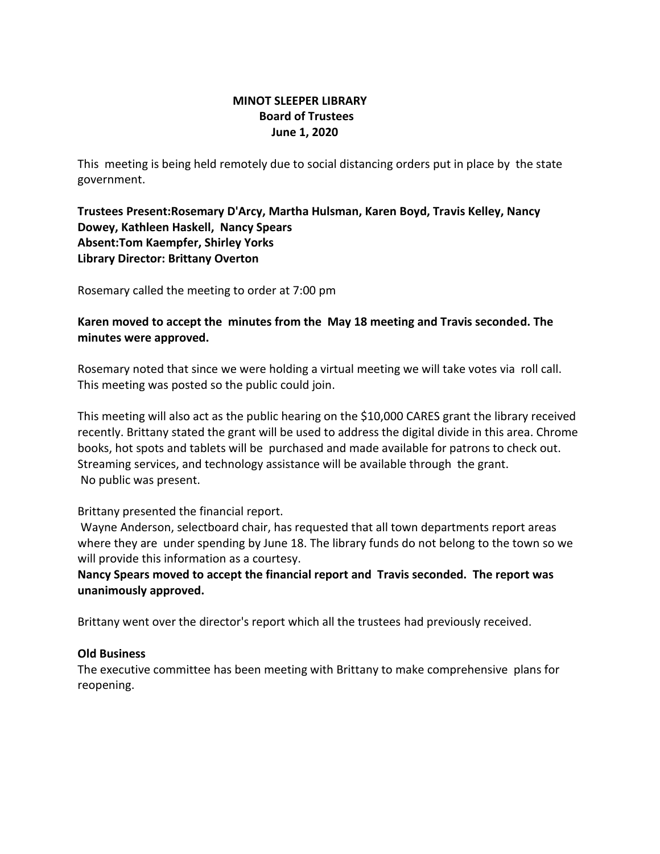### **MINOT SLEEPER LIBRARY Board of Trustees June 1, 2020**

This meeting is being held remotely due to social distancing orders put in place by the state government.

**Trustees Present:Rosemary D'Arcy, Martha Hulsman, Karen Boyd, Travis Kelley, Nancy Dowey, Kathleen Haskell, Nancy Spears Absent:Tom Kaempfer, Shirley Yorks Library Director: Brittany Overton** 

Rosemary called the meeting to order at 7:00 pm

**Karen moved to accept the minutes from the May 18 meeting and Travis seconded. The minutes were approved.**

Rosemary noted that since we were holding a virtual meeting we will take votes via roll call. This meeting was posted so the public could join.

This meeting will also act as the public hearing on the \$10,000 CARES grant the library received recently. Brittany stated the grant will be used to address the digital divide in this area. Chrome books, hot spots and tablets will be purchased and made available for patrons to check out. Streaming services, and technology assistance will be available through the grant. No public was present.

Brittany presented the financial report.

Wayne Anderson, selectboard chair, has requested that all town departments report areas where they are under spending by June 18. The library funds do not belong to the town so we will provide this information as a courtesy.

**Nancy Spears moved to accept the financial report and Travis seconded. The report was unanimously approved.**

Brittany went over the director's report which all the trustees had previously received.

### **Old Business**

The executive committee has been meeting with Brittany to make comprehensive plans for reopening.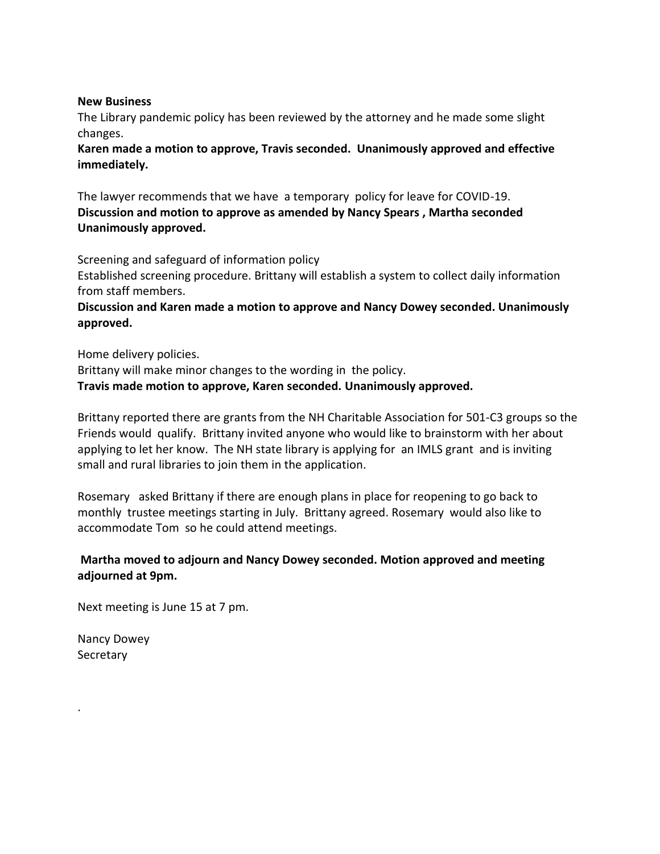#### **New Business**

The Library pandemic policy has been reviewed by the attorney and he made some slight changes.

**Karen made a motion to approve, Travis seconded. Unanimously approved and effective immediately.**

The lawyer recommends that we have a temporary policy for leave for COVID-19. **Discussion and motion to approve as amended by Nancy Spears , Martha seconded Unanimously approved.**

Screening and safeguard of information policy Established screening procedure. Brittany will establish a system to collect daily information from staff members.

**Discussion and Karen made a motion to approve and Nancy Dowey seconded. Unanimously approved.**

Home delivery policies. Brittany will make minor changes to the wording in the policy. **Travis made motion to approve, Karen seconded. Unanimously approved.**

Brittany reported there are grants from the NH Charitable Association for 501-C3 groups so the Friends would qualify. Brittany invited anyone who would like to brainstorm with her about applying to let her know. The NH state library is applying for an IMLS grant and is inviting small and rural libraries to join them in the application.

Rosemary asked Brittany if there are enough plans in place for reopening to go back to monthly trustee meetings starting in July. Brittany agreed. Rosemary would also like to accommodate Tom so he could attend meetings.

## **Martha moved to adjourn and Nancy Dowey seconded. Motion approved and meeting adjourned at 9pm.**

Next meeting is June 15 at 7 pm.

Nancy Dowey **Secretary** 

.